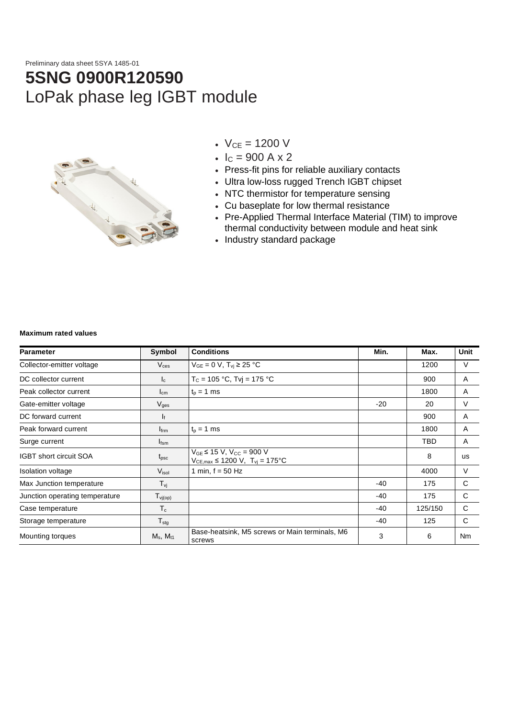Preliminary data sheet 5SYA 1485-01

# **5SNG 0900R120590** LoPak phase leg IGBT module



- $V_{CE} = 1200 V$
- $I_c = 900 A x 2$
- Press-fit pins for reliable auxiliary contacts
- Ultra low-loss rugged Trench IGBT chipset
- NTC thermistor for temperature sensing
- Cu baseplate for low thermal resistance
- Pre-Applied Thermal Interface Material (TIM) to improve thermal conductivity between module and heat sink
- Industry standard package

#### **Maximum rated values**

| <b>Parameter</b><br>Symbol     |                     | <b>Conditions</b>                                                                      | Min.  | Max.    | Unit |  |
|--------------------------------|---------------------|----------------------------------------------------------------------------------------|-------|---------|------|--|
| Collector-emitter voltage      | $V_{\rm ces}$       | $V_{GE} = 0 V$ , $T_{vj} \ge 25 °C$                                                    |       | 1200    | V    |  |
| DC collector current           | $I_c$               | $T_c = 105 °C$ , Tvj = 175 °C                                                          |       | 900     | A    |  |
| Peak collector current         | $I_{cm}$            | $t_0 = 1$ ms                                                                           |       | 1800    | A    |  |
| Gate-emitter voltage           | $V_{\rm ges}$       |                                                                                        | $-20$ | 20      | V    |  |
| DC forward current             | I۴                  |                                                                                        |       | 900     | A    |  |
| Peak forward current           | $I_{\text{frm}}$    | $t_{p}$ = 1 ms                                                                         |       | 1800    | A    |  |
| Surge current                  | $I_{fsm}$           |                                                                                        |       | TBD     | A    |  |
| <b>IGBT</b> short circuit SOA  | $t_{\rm psc}$       | $V_{GE}$ ≤ 15 V, V <sub>CC</sub> = 900 V<br>$V_{CE,max} \le 1200 V$ , $T_{vj} = 175°C$ |       | 8       | us   |  |
| Isolation voltage              | V <sub>isol</sub>   | 1 min, $f = 50$ Hz                                                                     |       | 4000    | V    |  |
| Max Junction temperature       | $T_{\mathsf{vj}}$   |                                                                                        | $-40$ | 175     | C    |  |
| Junction operating temperature | $T_{\text{vj(op)}}$ |                                                                                        | -40   | 175     | C    |  |
| Case temperature               | $T_c$               |                                                                                        | $-40$ | 125/150 | C    |  |
| Storage temperature            | $T_{\text{stg}}$    |                                                                                        | -40   | 125     | C    |  |
| Mounting torques               | $M_s$ , $M_{t1}$    | Base-heatsink, M5 screws or Main terminals, M6<br>screws                               | 3     | 6       | Nm   |  |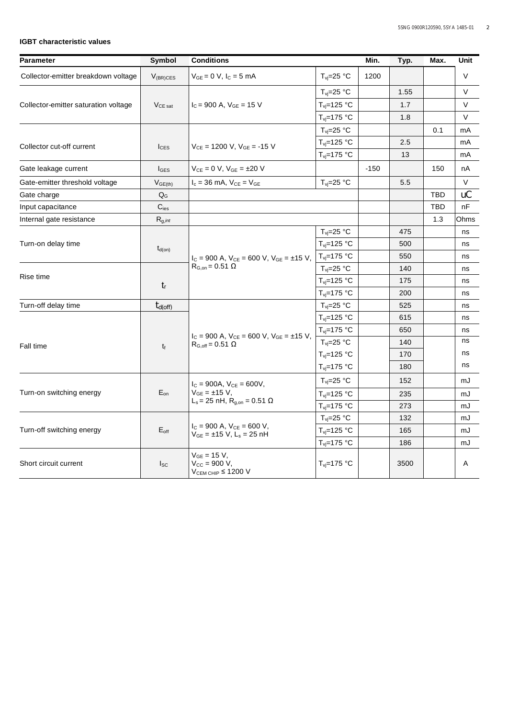## **IGBT characteristic values**

| <b>Parameter</b>                     | Symbol           | <b>Conditions</b>                                                                        | Min.                          | Typ.   | Max. | Unit       |        |
|--------------------------------------|------------------|------------------------------------------------------------------------------------------|-------------------------------|--------|------|------------|--------|
| Collector-emitter breakdown voltage  | $V_{(BR)CES}$    | $V_{GE} = 0 V, I_C = 5 mA$                                                               | $T_{vi} = 25$ °C              | 1200   |      |            | V      |
|                                      | $V_{CE\, sat}$   | $I_C = 900$ A, $V_{GE} = 15$ V                                                           | $T_{\text{vj}}=25 \text{ °C}$ |        | 1.55 |            | $\vee$ |
| Collector-emitter saturation voltage |                  |                                                                                          | $T_{vi} = 125 °C$             |        | 1.7  |            | V      |
|                                      |                  |                                                                                          | $T_{vi}=175$ °C               |        | 1.8  |            | $\vee$ |
|                                      |                  |                                                                                          | $T_{\text{vj}}=25 \text{ °C}$ |        |      | 0.1        | mA     |
| Collector cut-off current            | $I_{\text{CES}}$ | $V_{CE}$ = 1200 V, $V_{GE}$ = -15 V                                                      | $T_{vi} = 125 °C$             |        | 2.5  |            | mA     |
|                                      |                  |                                                                                          | $T_{vi} = 175 °C$             |        | 13   |            | mA     |
| Gate leakage current                 | $I_{\text{GES}}$ | $V_{CF} = 0 V$ , $V_{GF} = \pm 20 V$                                                     |                               | $-150$ |      | 150        | nA     |
| Gate-emitter threshold voltage       | $V_{GE(th)}$     | $I_c = 36$ mA, $V_{CE} = V_{GE}$                                                         | $T_{\text{vj}}=25$ °C         |        | 5.5  |            | $\vee$ |
| Gate charge                          | $Q_G$            |                                                                                          |                               |        |      | TBD        | uC     |
| Input capacitance                    | $C_{\text{ies}}$ |                                                                                          |                               |        |      | <b>TBD</b> | nF     |
| Internal gate resistance             | $R_{g,int}$      |                                                                                          |                               |        |      | 1.3        | Ohms   |
|                                      |                  |                                                                                          | $T_{\text{vj}}=25 \text{ °C}$ |        | 475  |            | ns     |
| Turn-on delay time                   | $t_{d(on)}$      |                                                                                          | $T_{vi} = 125 °C$             |        | 500  |            | ns     |
|                                      |                  | $I_C = 900$ A, $V_{CE} = 600$ V, $V_{GE} = \pm 15$ V,<br>$R_{\text{G,on}} = 0.51 \Omega$ | $T_{vi} = 175 °C$             |        | 550  |            | ns     |
| Rise time                            | $t_{r}$          |                                                                                          | $T_{\text{vj}}=25 \text{ °C}$ |        | 140  |            | ns     |
|                                      |                  |                                                                                          | $T_{vi} = 125 °C$             |        | 175  |            | ns     |
|                                      |                  |                                                                                          | $T_{vi} = 175 °C$             |        | 200  |            | ns     |
| Turn-off delay time                  | $t_{d(off)}$     |                                                                                          | $T_{vi} = 25 °C$              |        | 525  |            | ns     |
|                                      |                  |                                                                                          | $T_{vi} = 125 °C$             |        | 615  |            | ns     |
|                                      | $t_f$            | $I_C = 900$ A, $V_{CE} = 600$ V, $V_{GE} = \pm 15$ V,                                    | $T_{\text{vj}}$ =175 °C       |        | 650  |            | ns     |
| Fall time                            |                  | $R_{G,off} = 0.51 \Omega$                                                                | $T_{vi} = 25 °C$              |        | 140  |            | ns     |
|                                      |                  |                                                                                          | $T_{\text{vj}}$ =125 °C       |        | 170  |            | ns     |
|                                      |                  |                                                                                          | $T_{vi} = 175 °C$             |        | 180  |            | ns     |
|                                      |                  | $I_C = 900A$ , $V_{CE} = 600V$ ,                                                         | $T_{vi} = 25 °C$              |        | 152  |            | mJ     |
| Turn-on switching energy             | $E_{on}$         | $V_{GE} = \pm 15 V$ ,                                                                    | $T_{vi} = 125 °C$             |        | 235  |            | mJ     |
|                                      |                  | L <sub>s</sub> = 25 nH, R <sub>q, on</sub> = 0.51 Ω                                      | $T_{vi} = 175 °C$             |        | 273  |            | mJ     |
|                                      | $E_{\text{off}}$ |                                                                                          | $T_{\text{vj}}=25 \text{ °C}$ |        | 132  |            | mJ     |
| Turn-off switching energy            |                  | $I_C = 900$ A, $V_{CE} = 600$ V,<br>$V_{GE} = \pm 15$ V, L <sub>s</sub> = 25 nH          | $T_{\text{vj}}$ =125 °C       |        | 165  |            | mJ     |
|                                      |                  |                                                                                          | $T_{\text{vj}}$ =175 °C       |        | 186  |            | mJ     |
| Short circuit current                | $I_{SC}$         | $V_{GE} = 15 V,$<br>$V_{CC} = 900 V,$<br>$V_{CEM CHIP} \leq 1200 V$                      | $T_{\text{vi}}$ =175 °C       |        | 3500 |            | Α      |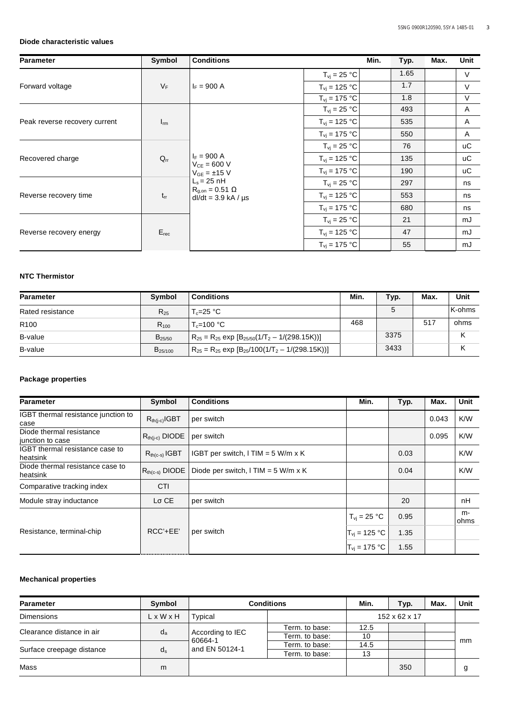#### **Diode characteristic values**

| <b>Parameter</b>              | Symbol    | <b>Conditions</b>                                                                                                                          |                                  | Min. | Typ. | Max. | <b>Unit</b>    |
|-------------------------------|-----------|--------------------------------------------------------------------------------------------------------------------------------------------|----------------------------------|------|------|------|----------------|
|                               |           |                                                                                                                                            | $T_{\text{vj}} = 25 \text{ °C}$  |      | 1.65 |      | $\vee$         |
| Forward voltage               | $V_F$     | $I_F = 900 A$                                                                                                                              | $T_{\rm{vj}} = 125 °C$           |      | 1.7  |      | $\vee$         |
|                               |           |                                                                                                                                            | $T_{\rm vj} = 175 °C$            |      | 1.8  |      | $\vee$         |
|                               |           |                                                                                                                                            | $T_{vi}$ = 25 °C                 |      | 493  |      | A              |
| Peak reverse recovery current | $I_{rm}$  |                                                                                                                                            | $T_{\rm vj} = 125 °C$            |      | 535  |      | $\overline{A}$ |
|                               |           |                                                                                                                                            | $T_{\rm vj} = 175 °C$            |      | 550  |      | A              |
|                               |           | $I_F = 900 A$<br>$V_{CE} = 600 V$<br>$V_{GE} = \pm 15$ V<br>$L_s = 25$ nH<br>$R_{\text{a,on}} = 0.51 \Omega$<br>$dl/dt = 3.9$ kA / $\mu s$ | $T_{vi}$ = 25 °C                 |      | 76   |      | <b>uC</b>      |
| Recovered charge              | $Q_{rr}$  |                                                                                                                                            | $T_{\rm vj} = 125 °C$            |      | 135  |      | <b>uC</b>      |
|                               |           |                                                                                                                                            | $T_{vi} = 175 °C$                |      | 190  |      | иC             |
|                               |           |                                                                                                                                            | $T_{\rm vj} = 25 \text{ °C}$     |      | 297  |      | ns             |
| Reverse recovery time         | $t_{rr}$  |                                                                                                                                            | $T_{vi}$ = 125 °C                |      | 553  |      | ns             |
|                               |           |                                                                                                                                            | $T_{\rm vj} = 175 °C$            |      | 680  |      | ns             |
| Reverse recovery energy       |           |                                                                                                                                            | $T_{vi}$ = 25 °C                 |      | 21   |      | mJ             |
|                               | $E_{rec}$ |                                                                                                                                            | $T_{vi}$ = 125 °C                |      | 47   |      | mJ             |
|                               |           |                                                                                                                                            | $T_{\text{vj}} = 175 \text{ °C}$ |      | 55   |      | mJ             |

# **NTC Thermistor**

| <b>Parameter</b> | <b>Symbol</b> | <b>Conditions</b>                                           | Min. | Typ.        | Max. | Unit   |
|------------------|---------------|-------------------------------------------------------------|------|-------------|------|--------|
| Rated resistance | $R_{25}$      | T <sub>≏</sub> =25 °C_                                      |      | $\mathbf b$ |      | K-ohms |
| R <sub>100</sub> | $R_{100}$     | $T_c = 100 °C$                                              | 468  |             | 517  | ohms   |
| B-value          | $B_{25/50}$   | $R_{25} = R_{25}$ exp $[B_{25/50}(1/T_2 - 1/(298.15K))]$    |      | 3375        |      |        |
| B-value          | $B_{25/100}$  | $R_{25} = R_{25}$ exp $[B_{25}/100(1/T_{2} - 1/(298.15K))]$ |      | 3433        |      |        |

## **Package properties**

| <b>Parameter</b>                             | Symbol                 | <b>Conditions</b>                     | Min.                 | Typ. | Max.  | <b>Unit</b> |
|----------------------------------------------|------------------------|---------------------------------------|----------------------|------|-------|-------------|
| IGBT thermal resistance junction to<br>case  | $R_{th(i-c)}$ IGBT     | per switch                            |                      |      | 0.043 | K/W         |
| Diode thermal resistance<br>junction to case | $R_{th(i-c)}$ DIODE    | per switch                            |                      |      | 0.095 | K/W         |
| IGBT thermal resistance case to<br>heatsink  | $R_{th(c-s)}$ IGBT     | IGBT per switch, I TIM = 5 W/m x K    |                      | 0.03 |       | K/W         |
| Diode thermal resistance case to<br>heatsink | $R_{th(c-s)}$ DIODE    | Diode per switch, $I$ TIM = 5 W/m x K |                      | 0.04 |       | K/W         |
| Comparative tracking index                   | <b>CTI</b>             |                                       |                      |      |       |             |
| Module stray inductance                      | $L\sigma$ CE           | per switch                            |                      | 20   |       | nH          |
|                                              |                        |                                       | $T_{\rm vj} = 25$ °C | 0.95 |       | m-<br>ohms  |
| Resistance, terminal-chip                    | RCC'+EE'<br>per switch |                                       | $T_{vi}$ = 125 °C    | 1.35 |       |             |
|                                              |                        |                                       | $T_{vi}$ = 175 °C    | 1.55 |       |             |

## **Mechanical properties**

| <b>Parameter</b>          | Symbol                | <b>Conditions</b>                             | Min.           | Typ.           | Max. | Unit |    |
|---------------------------|-----------------------|-----------------------------------------------|----------------|----------------|------|------|----|
| <b>Dimensions</b>         | $L \times W \times H$ | Typical                                       | 152 x 62 x 17  |                |      |      |    |
| Clearance distance in air |                       | According to IEC<br>60664-1<br>and EN 50124-1 | Term. to base: | 12.5           |      |      | mm |
|                           | $d_{a}$               |                                               | Term, to base: | 10             |      |      |    |
|                           |                       |                                               | Term, to base: | 14.5           |      |      |    |
| Surface creepage distance |                       |                                               | $d_s$          | Term, to base: | 13   |      |    |
| Mass                      | m                     |                                               |                |                | 350  |      |    |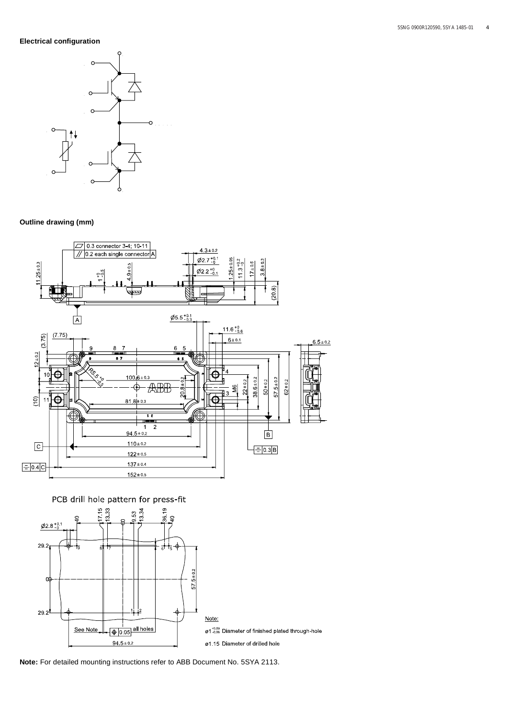## **Electrical configuration**



## **Outline drawing (mm)**



PCB drill hole pattern for press-fit



**Note:** For detailed mounting instructions refer to ABB Document No. 5SYA 2113.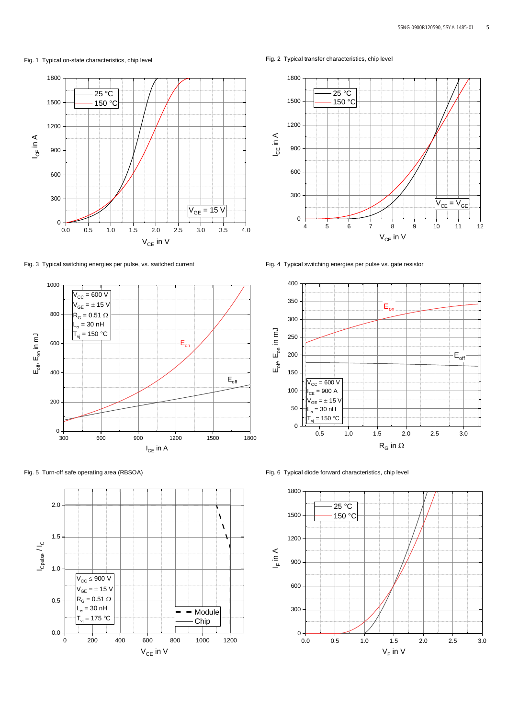Fig. 1 Typical on-state characteristics, chip level ever fig. 2 Typical transfer characteristics, chip level



Fig. 3 Typical switching energies per pulse, vs. switched current Fig. 4 Typical switching energies per pulse vs. gate resistor









Fig. 5 Turn-off safe operating area (RBSOA) Fig. 6 Typical diode forward characteristics, chip level